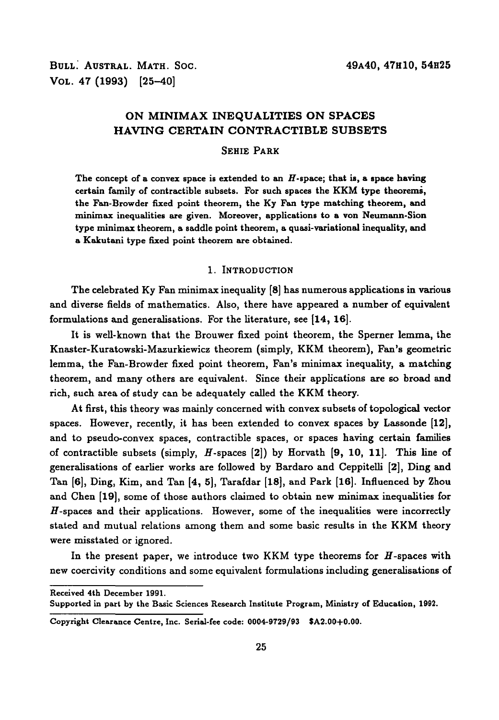**BULL. AUSTRAL. MATH. SOC. 49A40, 47H10, 54H25 VOL. 47 (1993) [25-40]**

# **ON MINIMAX INEQUALITIES ON SPACES HAVING CERTAIN CONTRACTIBLE SUBSETS**

## **SEHIE PARK**

The concept of a convex space is extended to an  $H$ -space; that is, a space having certain family of contractible subsets. For such spaces the KKM type theorems, the Fan-Browder fixed point theorem, the Ky Fan type matching theorem, and minimax inequalities are given. Moreover, applications to a von Neumann-Sion type minimax theorem, a saddle point theorem, a quasi-variational inequality, and a Kakutani type fixed point theorem are obtained.

### 1. INTRODUCTION

The celebrated Ky Fan minimax inequality [8] has numerous applications in various and diverse fields of mathematics. Also, there have appeared a number of equivalent formulations and generalisations. For the literature, see [14, 16].

It is well-known that the Brouwer fixed point theorem, the Sperner lemma, the Knaster-Kuratowski-Mazurkiewicz theorem (simply, KKM theorem), Fan's geometric lemma, the Fan-Browder fixed point theorem, Fan's minimax inequality, a matching theorem, and many others are equivalent. Since their applications are so broad and rich, such area of study can be adequately called the KKM theory.

At first, this theory was mainly concerned with convex subsets of topological vector spaces. However, recently, it has been extended to convex spaces by Lassonde [12], and to pseudo-convex spaces, contractible spaces, or spaces having certain families of contractible subsets (simply,  $H$ -spaces  $(2)$ ) by Horvath  $[9, 10, 11]$ . This line of generalisations of earlier works are followed by Bardaro and Ceppitelli [2], Ding and Tan [6], Ding, Kim, and Tan [4, 5], Tarafdar [18], and Park [16]. Influenced by Zhou and Chen [19], some of those authors claimed to obtain new minimax inequalities for  $H$ -spaces and their applications. However, some of the inequalities were incorrectly stated and mutual relations among them and some basic results in the KKM theory were misstated or ignored.

In the present paper, we introduce two KKM type theorems for  $H$ -spaces with new coercivity conditions and some equivalent formulations including generalisations of

**Received 4th December 1991.**

**Supported in patt by the Basic Sciences Research Institute Program, Ministry of Education, 1992.**

**Copyright Clearance Centre, Inc. Serial-fee code: 0004-9729/93 SA2.00+0.00.**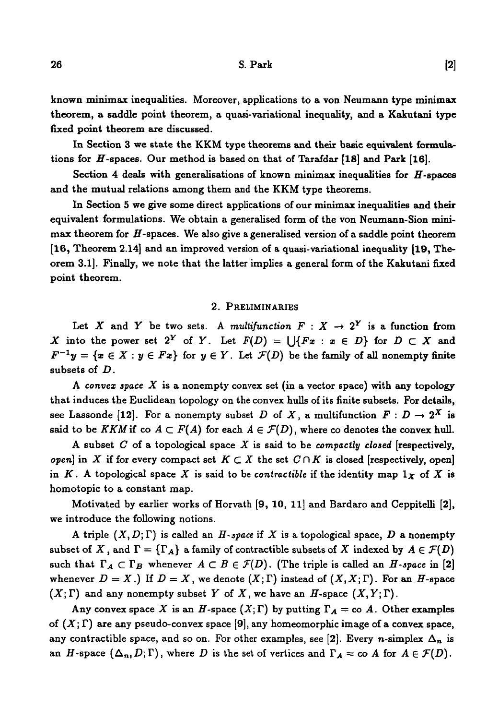known minimax inequalities. Moreover, applications to a von Neumann type minimax theorem, a saddle point theorem, a quasi-variational inequality, and a Kakutani type fixed point theorem are discussed.

In Section 3 we state the KKM type theorems and their basic equivalent formulations for  $H$ -spaces. Our method is based on that of Tarafdar [18] and Park [16].

Section 4 deals with generalisations of known minimax inequalities for  $H$ -spaces and the mutual relations among them and the KKM type theorems.

In Section 5 we give some direct applications of our minimax inequalities and their equivalent formulations. We obtain a generalised form of the von Neumann-Sion minimax theorem for  $H$ -spaces. We also give a generalised version of a saddle point theorem [16, Theorem 2.14] and an improved version of a quasi-variational inequality [19, Theorem 3.1]. Finally, we note that the latter implies a general form of the Kakutani fixed point theorem.

#### 2. PRELIMINARIES

Let X and Y be two sets. A multifunction  $F: X \to 2^Y$  is a function from *X* into the power set  $2^Y$  of *Y*. Let  $F(D) = \bigcup \{Fx : x \in D\}$  for  $D \subset X$  and  $F^{-1}y = \{x \in X : y \in Fx\}$  for  $y \in Y$ . Let  $\mathcal{F}(D)$  be the family of all nonempty finite subsets of *D.*

A convex space  $X$  is a nonempty convex set (in a vector space) with any topology that induces the Euclidean topology on the convex hulls of its finite subsets. For details, see Lassonde [12]. For a nonempty subset D of X, a multifunction  $F: D \to 2^X$  is said to be  $KKM$  if  $co A \subset F(A)$  for each  $A \in \mathcal{F}(D)$ , where co denotes the convex hull.

A subset *C* of a topological space *X* is said to be *compactly closed* [respectively, *open*] in X if for every compact set  $K \subset X$  the set  $C \cap K$  is closed [respectively, open] in K. A topological space X is said to be *contractible* if the identity map  $1_X$  of X is homotopic to a constant map.

Motivated by earlier works of Horvath [9, 10, 11] and Bardaro and Ceppitelli [2], we introduce the following notions.

A triple  $(X, D; \Gamma)$  is called an  $H$ -space if  $X$  is a topological space,  $D$  a nonempty subset of *X*, and  $\Gamma = {\Gamma_A}$  a family of contractible subsets of *X* indexed by  $A \in \mathcal{F}(D)$ such that  $\Gamma_A \subset \Gamma_B$  whenever  $A \subset B \in \mathcal{F}(D)$ . (The triple is called an  $H$ -space in [2] whenever  $D = X$ .) If  $D = X$ , we denote  $(X; \Gamma)$  instead of  $(X, X; \Gamma)$ . For an  $H$ -space  $(X; \Gamma)$  and any nonempty subset Y of X, we have an H-space  $(X, Y; \Gamma)$ .

Any convex space X is an H-space  $(X; \Gamma)$  by putting  $\Gamma_A = \text{co } A$ . Other examples of  $(X; \Gamma)$  are any pseudo-convex space [9], any homeomorphic image of a convex space, any contractible space, and so on. For other examples, see [2]. Every *n*-simplex  $\Delta_n$  is an H-space  $(\Delta_n, D; \Gamma)$ , where D is the set of vertices and  $\Gamma_A = \text{co } A$  for  $A \in \mathcal{F}(D)$ .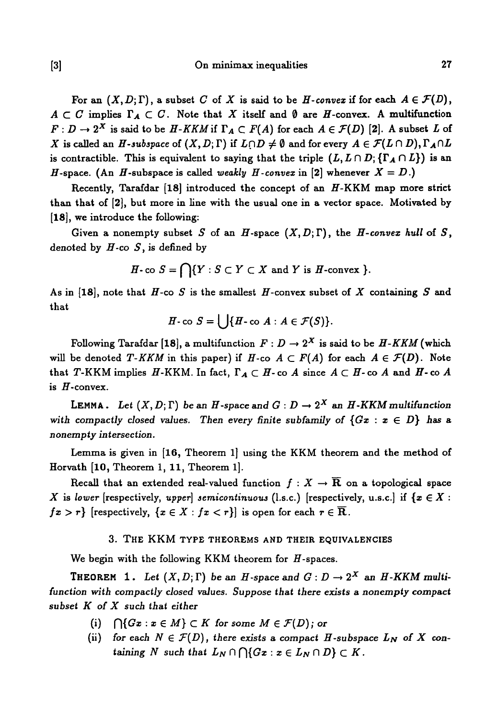For an  $(X, D; \Gamma)$ , a subset C of X is said to be H-convex if for each  $A \in \mathcal{F}(D)$ ,  $A \subset C$  implies  $\Gamma_A \subset C$ . Note that X itself and  $\emptyset$  are H-convex. A multifunction  $F: D \to 2^X$  is said to be *H-KKM* if  $\Gamma_A \subset F(A)$  for each  $A \in \mathcal{F}(D)$  [2]. A subset *L* of X is called an H-subspace of  $(X, D; \Gamma)$  if  $L \cap D \neq \emptyset$  and for every  $A \in \mathcal{F}(L \cap D)$ ,  $\Gamma_A \cap L$ is contractible. This is equivalent to saying that the triple  $(L, L \cap D; \{ \Gamma_A \cap L \})$  is an H-space. (An H-subspace is called *weakly H-convex* in [2] whenever  $X = D$ .)

Recently, Tarafdar  $[18]$  introduced the concept of an  $H$ -KKM map more strict than that of [2], but more in line with the usual one in a vector space. Motivated by [18], we introduce the following:

Given a nonempty subset *S* of an *H*-space  $(X, D; \Gamma)$ , the *H*-convex hull of *S*, denoted by  $H$ -co  $S$ , is defined by

$$
H\text{-co } S=\bigcap\{Y:S\subset Y\subset X \text{ and } Y \text{ is } H\text{-convex } \}.
$$

As in  $[18]$ , note that  $H$ -co  $S$  is the smallest  $H$ -convex subset of  $X$  containing  $S$  and that

$$
H\text{- co }S=\bigcup\{H\text{- co }A:A\in\mathcal{F}(S)\}.
$$

Following Tarafdar [18], a multifunction  $F: D \to 2^X$  is said to be  $H$ -KKM (which will be denoted T-KKM in this paper) if  $H$ -co  $A \subset F(A)$  for each  $A \in \mathcal{F}(D)$ . Note that T-KKM implies  $H$ -KKM. In fact,  $\Gamma_A \subset H$ -co  $A$  since  $A \subset H$ -co  $A$  and  $H$ -co  $A$ is  $H$ -convex.

**LEMMA.** Let  $(X, D; \Gamma)$  be an H-space and  $G: D \to 2^X$  an H-KKM multifunction with compactly closed values. Then every finite subfamily of  ${Gx : x \in D}$  has a nonempty intersection.

Lemma is given in [16, Theorem 1] using the KKM theorem and the method of Horvath [10, Theorem 1, 11, Theorem 1].

Recall that an extended real-valued function  $f : X \to \overline{R}$  on a topological space *X* is lower [respectively, upper] semicontinuous (l.s.c.) [respectively, u.s.c.] if  $\{x \in X :$  $f \mathbf{z} > r$ } [respectively,  $\{x \in X : f x < r\}$ ] is open for each  $r \in \overline{\mathbf{R}}$ .

# 3. THE KKM TYPE THEOREMS AND THEIR EQUIVALENCIES

We begin with the following KKM theorem for  $H$ -spaces.

**THEOREM** 1. Let  $(X, D; \Gamma)$  be an H-space and  $G: D \to 2^X$  an H-KKM multi*function with compactly closed values. Suppose that there exists* a *nonempty compact subset K of X such that either*

- (i)  $\bigcap \{Gx : x \in M\} \subset K$  for some  $M \in \mathcal{F}(D)$ ; or
- (ii) for each  $N \in \mathcal{F}(D)$ , there exists a compact H-subspace  $L_N$  of X con*taining N* such that  $L_N \cap \bigcap \{Gx : x \in L_N \cap D\} \subset K$ .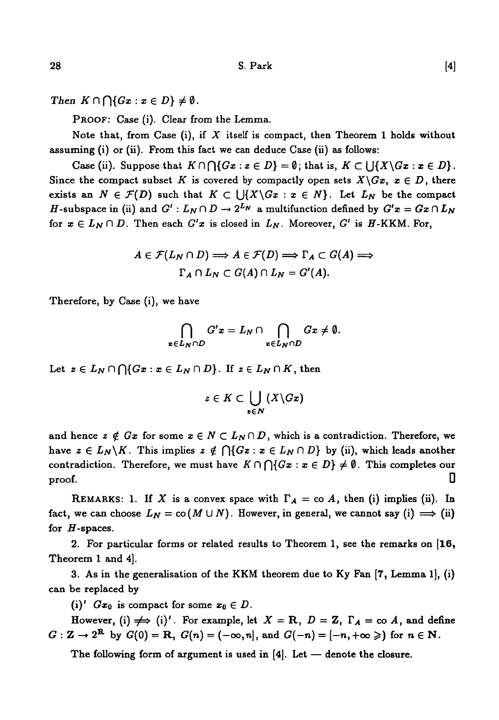*Then*  $K \cap \bigcap \{Gx : x \in D\} \neq \emptyset$ .

PROOF: Case (i). Clear from the Lemma.

Note that, from Case (i), if *X* itself is compact, then Theorem 1 holds without assuming (i) or (ii). From this fact we can deduce Case (ii) as follows:

Case (ii). Suppose that  $K \cap \{Gx : x \in D\} = \emptyset$ ; that is,  $K \subset \{|\{X \setminus Gx : x \in D\}$ . Since the compact subset K is covered by compactly open sets  $X\backslash Gx$ ,  $x \in D$ , there exists an  $N \in \mathcal{F}(D)$  such that  $K \subset \bigcup \{X \setminus Gx : x \in N\}$ . Let  $L_N$  be the compact H-subspace in (ii) and  $G'$ :  $L_N \cap D \to 2^{L_N}$  a multifunction defined by  $G'x = Gx \cap L_N$ for  $x \in L_N \cap D$ . Then each  $G'x$  is closed in  $L_N$ . Moreover,  $G'$  is H-KKM. For,

$$
A \in \mathcal{F}(L_N \cap D) \Longrightarrow A \in \mathcal{F}(D) \Longrightarrow \Gamma_A \subset G(A) \Longrightarrow
$$
  
 
$$
\Gamma_A \cap L_N \subset G(A) \cap L_N = G'(A).
$$

Therefore, by Case (i), we have

$$
\bigcap_{\boldsymbol{x}\in L_N\cap D}G'\boldsymbol{x}=L_N\cap\bigcap_{\boldsymbol{x}\in L_N\cap D}G\boldsymbol{x}\neq\emptyset.
$$

Let  $z \in L_N \cap \bigcap \{Gx : x \in L_N \cap D\}$ . If  $z \in L_N \cap K$ , then

$$
z\in K\subset \bigcup_{x\in N} (X\backslash Gx)
$$

and hence  $z \notin Gx$  for some  $x \in N \subset L_N \cap D$ , which is a contradiction. Therefore, we have  $z \in L_N \backslash K$ . This implies  $z \notin \bigcap \{Gx : x \in L_N \cap D\}$  by (ii), which leads another contradiction. Therefore, we must have  $K \cap \bigcap \{Gx : x \in D\} \neq \emptyset$ . This completes our proof. Description of the contract of the contract of the contract of the contract of  $\Box$ 

REMARKS: 1. If X is a convex space with  $\Gamma_A = \text{co } A$ , then (i) implies (ii). In fact, we can choose  $L_N = \text{co}(M \cup N)$ . However, in general, we cannot say (i)  $\implies$  (ii) for  $H$ -spaces.

2. For particular forms or related results to Theorem 1, see the remarks on [16, Theorem 1 and 4].

3. As in the generalisation of the KKM theorem due to Ky Fan [7, Lemma 1], (i) can be replaced by

(i)<sup>'</sup>  $Gx_0$  is compact for some  $x_0 \in D$ .

However, (i)  $\iff$  (i)'. For example, let  $X = \mathbb{R}$ ,  $D = \mathbb{Z}$ ,  $\Gamma_A = \text{co } A$ , and define  $G: \mathbb{Z} \to 2^{\mathbb{R}}$  by  $G(0) = \mathbb{R}, G(n) = (-\infty, n],$  and  $G(-n) = [-n, +\infty)$  for  $n \in \mathbb{N}$ .

The following form of argument is used in  $[4]$ . Let — denote the closure.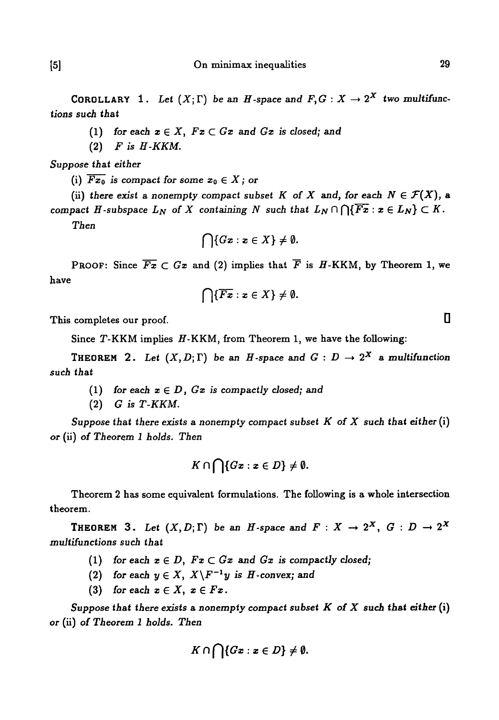- (1) for each  $x \in X$ ,  $Fx \subset Gx$  and  $Gx$  is closed; and
- (2) *F is H-KKM.*

*Suppose that either*

(i)  $\overline{Fx_0}$  is compact for some  $x_0 \in X$ ; or

(ii) there exist a nonempty compact subset K of X and, for each  $N \in \mathcal{F}(X)$ , a *compact H-subspace*  $L_N$  *of X containing N such that*  $L_N \cap \bigcap {\overline{F_x}} : x \in L_N$  $\subset K$ *.* 

*Then*

$$
\bigcap\{Gx:x\in X\}\neq\emptyset.
$$

PROOF: Since  $\overline{Fx} \subset Gx$  and (2) implies that  $\overline{F}$  is  $H-KKM$ , by Theorem 1, we have

$$
\bigcap \{ \overline{Fx} : x \in X \} \neq \emptyset.
$$

This completes our proof.

Since T-KKM implies *H-KKM,* from Theorem 1, we have the following:

THEOREM 2. Let  $(X, D; \Gamma)$  be an H-space and  $G: D \to 2^X$  a multifunction *such that*

- (1) for each  $x \in D$ ,  $Gx$  is compactly closed; and
- (2) *G is T-KKM.*

*Suppose that there exists a nonempty compact subset K of X such that either* (i) or (ii) *of Theorem 1 holds. Then*

$$
K\cap \bigcap\{Gx:x\in D\}\neq \emptyset.
$$

Theorem 2 has some equivalent formulations. The following is a whole intersection theorem.

THEOREM 3. Let  $(X, D; \Gamma)$  be an H-space and  $F: X \rightarrow 2^X$ ,  $G: D \rightarrow 2^X$ *multifunction such that*

- (1) for each  $x \in D$ ,  $Fx \subset Gx$  and  $Gx$  is compactly closed;
- (2) for each  $y \in X$ ,  $X \backslash F^{-1}y$  is  $H$ -convex; and
- (3) for each  $x \in X$ ,  $x \in Fx$ .

*Suppose that there exists* a *nonempty compact subset K of X such that either* (i) *or* (ii) *of Theorem 1 holds. Then*

$$
K\cap \bigcap\{Gx:x\in D\}\neq \emptyset.
$$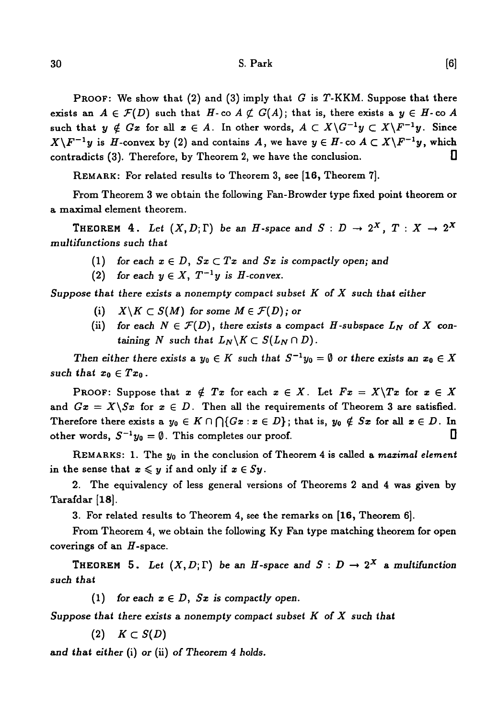PROOF: We show that (2) and (3) imply that *G* is T-KKM. Suppose that there exists an  $A \in \mathcal{F}(D)$  such that  $H$ - co  $A \not\subset G(A)$ ; that is, there exists a  $y \in H$ - co A such that  $y \notin Gx$  for all  $x \in A$ . In other words,  $A \subset X \backslash G^{-1}y \subset X \backslash F^{-1}y$ . Since  $X\ F^{-1}y$  is *H*-convex by (2) and contains *A*, we have  $y \in H$ -co  $A \subset X\ F^{-1}y$ , which contradicts (3). Therefore, by Theorem 2, we have the conclusion.  $\Box$ 

REMARK: For related results to Theorem 3, see [16, Theorem 7].

From Theorem 3 we obtain the following Fan-Browder type fixed point theorem or a maximal element theorem.

THEOREM 4. Let  $(X, D; \Gamma)$  be an  $H$ -space and  $S: D \rightarrow 2^X$ ,  $T: X \rightarrow 2^X$ *multifunctions such that*

- (1) for each  $x \in D$ ,  $Sx \subset Tx$  and  $Sx$  is compactly open; and
- (2) for each  $y \in X$ ,  $T^{-1}y$  is H-convex.

*Suppose that there exists* a *nonempty compact subset K of X such that either*

- (i)  $X \backslash K \subset S(M)$  for some  $M \in \mathcal{F}(D)$ ; or
- (ii) for each  $N \in \mathcal{F}(D)$ , there exists a compact H-subspace  $L_N$  of X con*taining* N such that  $L_N \backslash K \subset S(L_N \cap D)$ .

*Then either there exists* a  $y_0 \in K$  such that  $S^{-1}y_0 = \emptyset$  or there exists an  $x_0 \in X$ *such that*  $x_0 \in Tx_0$ .

PROOF: Suppose that  $x \notin Tx$  for each  $x \in X$ . Let  $Fx = X\T x$  for  $x \in X$ and  $Gx = X\$ Sx for  $x \in D$ . Then all the requirements of Theorem 3 are satisfied. Therefore there exists a  $y_0 \in K \cap \bigcap \{Gx : x \in D\}$ ; that is,  $y_0 \notin Sx$  for all  $x \in D$ . In other words,  $S^{-1}y_0 = \emptyset$ . This completes our proof.  $\Box$ 

REMARKS: 1. The  $y_0$  in the conclusion of Theorem 4 is called a *maximal element* in the sense that  $x \leq y$  if and only if  $x \in Sy$ .

2. The equivalency of less general versions of Theorems 2 and 4 was given by Tarafdar [18].

3. For related results to Theorem 4, see the remarks on [16, Theorem 6].

From Theorem 4, we obtain the following Ky Fan type matching theorem for open coverings of an  $H$ -space.

THEOREM 5. Let  $(X, D; \Gamma)$  be an H-space and  $S: D \to 2^X$  a multifunction *such that*

(1) for each  $x \in D$ ,  $Sx$  is compactly open.

*Suppose that there exists a nonempty compact subset K of X such that*

(2) *K* C *S(D)*

*and that either* (i) *or* (ii) *of Theorem 4 holds.*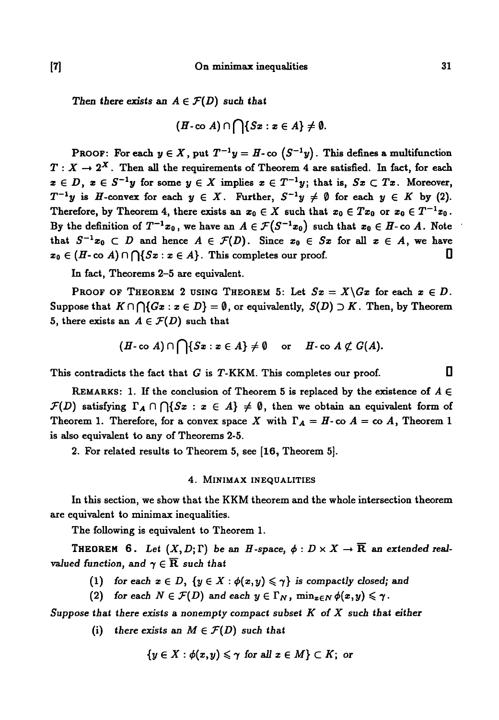Then there exists an  $A \in \mathcal{F}(D)$  such that

$$
(H\text{-co }A)\cap\bigcap\{Sx:x\in A\}\neq\emptyset.
$$

**PROOF:** For each  $y \in X$ , put  $T^{-1}y = H$ -co  $(S^{-1}y)$ . This defines a multifunction  $T: X \to 2^X$ . Then all the requirements of Theorem 4 are satisfied. In fact, for each  $x \in D$ ,  $x \in S^{-1}y$  for some  $y \in X$  implies  $x \in T^{-1}y$ ; that is,  $Sx \subset Tx$ . Moreover,  $T^{-1}y$  is *H*-convex for each  $y \in X$ . Further,  $S^{-1}y \neq \emptyset$  for each  $y \in K$  by (2). Therefore, by Theorem 4, there exists an  $x_0 \in X$  such that  $x_0 \in Tx_0$  or  $x_0 \in T^{-1}x_0$ . By the definition of  $T^{-1}x_0$ , we have an  $A \in \mathcal{F}(S^{-1}x_0)$  such that  $x_0 \in H$ -co A. Note **that**  $S^{-1}x_0 \subset D$  and hence  $A \in \mathcal{F}(D)$ . Since  $x_0 \in Sx$  for all  $x \in A$ , we have  $x_0 \in (H \text{-co } A) \cap \bigcap \{Sx : x \in A\}.$  This completes our proof.  $\square$ 

**In fact, Theorems 2-5 are equivalent.**

**PROOF OF THEOREM 2 USING THEOREM 5: Let**  $Sx = X\G x$  **for each**  $x \in D$ **.** Suppose that  $K \cap \{Gx : x \in D\} = \emptyset$ , or equivalently,  $S(D) \supset K$ . Then, by Theorem 5, there exists an  $A \in \mathcal{F}(D)$  such that

$$
(H\text{-}\mathrm{co}\;A)\cap\bigcap\{Sx:x\in A\}\neq\emptyset\quad\text{or}\quad H\text{-}\mathrm{co}\;A\not\subset G(A).
$$

**This contradicts the fact that** *G* **is T-KKM. This completes our proof. D**

**REMARKS:** 1. If the conclusion of Theorem 5 is replaced by the existence of  $A \in$  $\mathcal{F}(D)$  satisfying  $\Gamma_A \cap \bigcap \{Sx : x \in A\} \neq \emptyset$ , then we obtain an equivalent form of **Theorem 1. Therefore, for a convex space** *X* with  $\Gamma_A = H$ -**co**  $A = \text{co } A$ , Theorem 1 **is also equivalent to any of Theorems 2-5.**

**2. For related results to Theorem 5, see [16, Theorem 5].**

### **4. MINIMAX INEQUALITIES**

**In this section, we show that the KKM theorem and the whole intersection theorem are equivalent to minimax inequalities.**

**The following is equivalent to Theorem 1.**

**THEOREM** 6. Let  $(X, D; \Gamma)$  be an H-space,  $\phi : D \times X \to \overline{R}$  an extended real**valued** function, and  $\gamma \in \overline{\mathbf{R}}$  such that

- $(1)$  for each  $x \in D$ ,  $\{y \in X : \phi(x, y) \leq \gamma\}$  is compactly closed; and
- (2) for each  $N \in \mathcal{F}(D)$  and each  $y \in \Gamma_N$ ,  $\min_{x \in N} \phi(x, y) \leq \gamma$ .

*Suppose that there exists a nonempty compact subset K of X such that either*

(i) there exists an  $M \in \mathcal{F}(D)$  such that

 $\{y \in X : \phi(x, y) \leq \gamma \text{ for all } x \in M\} \subset K$ ; or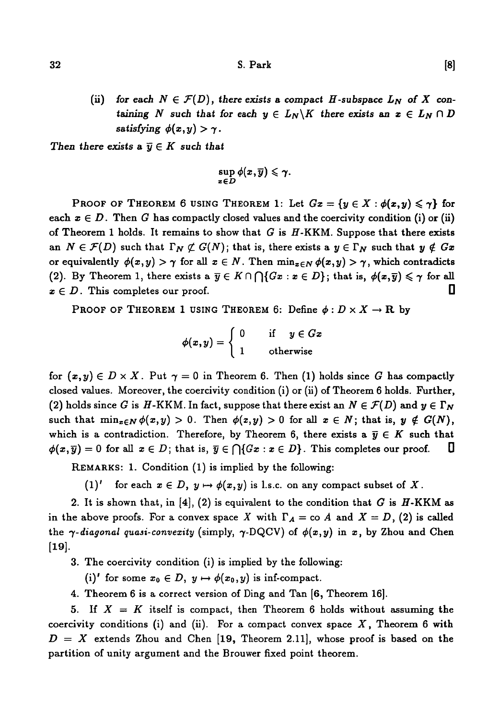(ii) for each  $N \in \mathcal{F}(D)$ , there exists a compact H-subspace  $L_N$  of X con*taining N* such that for each  $y \in L_N \backslash K$  there exists an  $x \in L_N \cap D$ *satisfying*  $\phi(x,y) > \gamma$ .

*Then there exists a*  $\overline{v} \in K$  *such that* 

$$
\sup_{\bm{z}\in D}\phi(\bm{x},\overline{\bm{y}})\leqslant \bm{\gamma}.
$$

PROOF OF THEOREM 6 USING THEOREM 1: Let  $Gx = \{y \in X : \phi(x, y) \leq \gamma\}$  for each  $x \in D$ . Then *G* has compactly closed values and the coercivity condition (i) or (ii) of Theorem 1 holds. It remains to show that *G* is H-KKM. Suppose that there exists an  $N \in \mathcal{F}(D)$  such that  $\Gamma_N \not\subset G(N)$ ; that is, there exists a  $y \in \Gamma_N$  such that  $y \notin Gx$ or equivalently  $\phi(x,y) > \gamma$  for all  $x \in N$ . Then  $\min_{x \in N} \phi(x,y) > \gamma$ , which contradicts (2). By Theorem 1, there exists a  $\overline{y} \in K \cap \bigcap {Gx : x \in D}$ ; that is,  $\phi(x,\overline{y}) \leq \gamma$  for all  $x \in D$ . This completes our proof.  $\Box$ 

PROO F OF THEOREM 1 USING THEOREM 6: Define *<j> -. D* x *X -\** R by

$$
\phi(x,y) = \left\{ \begin{array}{ll} 0 \quad &\hbox{if} \quad y \in Gx \\ 1 \quad &\hbox{otherwise} \end{array} \right.
$$

for  $(x, y) \in D \times X$ . Put  $\gamma = 0$  in Theorem 6. Then (1) holds since G has compactly closed values. Moreover, the coercivity condition (i) or (ii) of Theorem 6 holds. Further, (2) holds since *G* is H-KKM. In fact, suppose that there exist an  $N \in \mathcal{F}(D)$  and  $y \in \Gamma_N$ such that  $\min_{z \in N} \phi(x, y) > 0$ . Then  $\phi(x, y) > 0$  for all  $x \in N$ ; that is,  $y \notin G(N)$ , which is a contradiction. Therefore, by Theorem 6, there exists a  $\overline{y} \in K$  such that  $\phi(x,\overline{y}) = 0$  for all  $x \in D$ ; that is,  $\overline{y} \in \bigcap \{Gx : x \in D\}$ . This completes our proof. U

REMARKS: 1. Condition (1) is implied by the following:

(1)' for each  $x \in D$ ,  $y \mapsto \phi(x, y)$  is l.s.c. on any compact subset of X.

2. It is shown that, in [4], (2) is equivalent to the condition that *G* is H-KKM as in the above proofs. For a convex space X with  $\Gamma_A = \text{co } A$  and  $X = D$ , (2) is called the  $\gamma$ -diagonal quasi-convexity (simply,  $\gamma$ -DQCV) of  $\phi(x,y)$  in x, by Zhou and Chen [19].

3. The coercivity condition (i) is implied by the following:

(i)' for some  $x_0 \in D$ ,  $y \mapsto \phi(x_0, y)$  is inf-compact.

4. Theorem 6 is a correct version of Ding and Tan [6, Theorem 16].

5. If  $X = K$  itself is compact, then Theorem 6 holds without assuming the coercivity conditions (i) and (ii). For a compact convex space *X*, Theorem 6 with  $D = X$  extends Zhou and Chen [19, Theorem 2.11], whose proof is based on the partition of unity argument and the Brouwer fixed point theorem.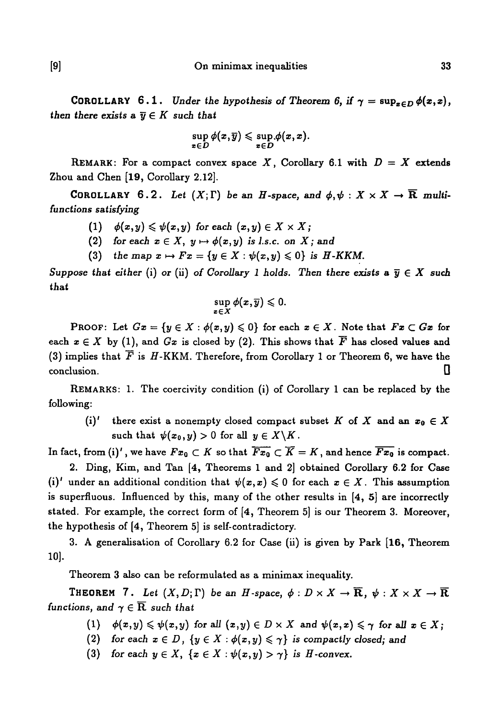**COROLLARY** 6.1. *Under the hypothesis of Theorem 6, if*  $\gamma = \sup_{x \in D} \phi(x, x)$ , *then there exists a*  $\overline{y} \in K$  *such that* 

$$
\sup_{x\in D}\phi(x,\overline{y})\leqslant \sup_{x\in D}\phi(x,x).
$$

REMARK: For a compact convex space X, Corollary 6.1 with  $D = X$  extends Zhou and Chen [19, Corollary 2.12].

**COROLLARY** 6.2. Let  $(X;\Gamma)$  be an H-space, and  $\phi, \psi : X \times X \to \overline{\mathbb{R}}$  multi*functions satisfying*

- (1)  $\phi(x,y) \leq \psi(x,y)$  for each  $(x,y) \in X \times X$ ;
- (2) for each  $x \in X$ ,  $y \mapsto \phi(x,y)$  is *l.s.c.* on X; and
- (3) the map  $x \mapsto Fx = \{y \in X : \psi(x, y) \le 0\}$  is H-KKM.

*Suppose that either* (i) or (ii) of Corollary 1 holds. Then there exists a  $\bar{y} \in X$  such *that*

$$
\sup_{x\in X}\phi(x,\overline{y})\leqslant 0.
$$

**PROOF:** Let  $Gx = \{y \in X : \phi(x, y) \leq 0\}$  for each  $x \in X$ . Note that  $Fx \subset Gx$  for each  $x \in X$  by (1), and  $Gx$  is closed by (2). This shows that  $\overline{F}$  has closed values and (3) implies that  $\overline{F}$  is  $H$ -KKM. Therefore, from Corollary 1 or Theorem 6, we have the conclusion.

REMARKS: 1. The coercivity condition (i) of Corollary 1 can be replaced by the following:

(i)' there exist a nonempty closed compact subset *K* of *X* and an  $x_0 \in X$ such that  $\psi(x_0, y) > 0$  for all  $y \in X \backslash K$ .

In fact, from (i)', we have  $Fx_0 \subset K$  so that  $\overline{Fx_0} \subset \overline{K} = K$ , and hence  $\overline{Fx_0}$  is compact.

2. Ding, Kim, and Tan [4, Theorems 1 and 2] obtained Corollary 6.2 for Case (i)' under an additional condition that  $\psi(x,x) \leq 0$  for each  $x \in X$ . This assumption is superfluous. Influenced by this, many of the other results in [4, 5] are incorrectly stated. For example, the correct form of [4, Theorem 5] is our Theorem 3. Moreover, the hypothesis of [4, Theorem 5] is self-contradictory.

3. A generalisation of Corollary 6.2 for Case (ii) is given by Park [16, Theorem 10].

Theorem 3 also can be reformulated as a minimax inequality.

**THEOREM 7.** Let  $(X, D; \Gamma)$  be an H-space,  $\phi: D \times X \to \overline{\mathbb{R}}$ ,  $\psi: X \times X \to \overline{\mathbb{R}}$ *functions, and*  $\gamma \in \overline{\mathbf{R}}$  *such that* 

- (1)  $\phi(x,y) \leqslant \psi(x,y)$  for all  $(x,y) \in D \times X$  and  $\psi(x,x) \leqslant \gamma$  for all  $x \in X$ ;
- (2) for each  $x \in D$ ,  $\{y \in X : \phi(x, y) \leq \gamma\}$  is compactly closed; and
- (3) for each  $y \in X$ ,  $\{x \in X : \psi(x,y) > \gamma\}$  is H-convex.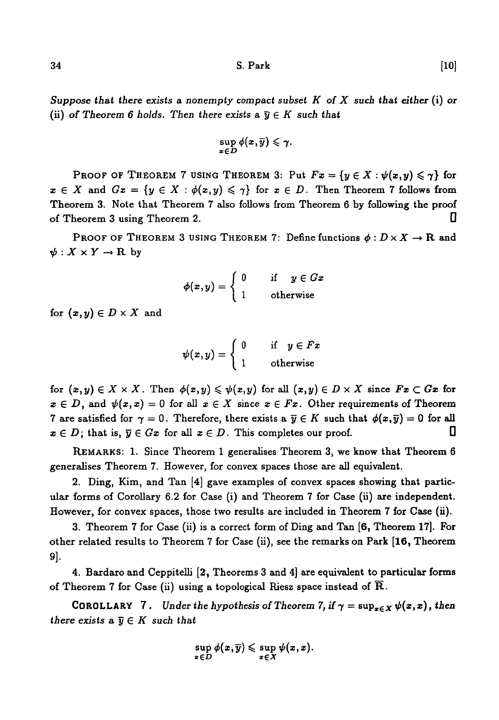*Suppose that there exists* a *nonempty compact subset K* of *X such that either* (i) or (ii) of Theorem 6 holds. Then there exists a  $\bar{y} \in K$  such that

$$
\sup_{\bm{x}\in D}\phi(\bm{x},\overline{y})\leqslant \gamma.
$$

PROOF OF THEOREM 7 USING THEOREM 3: Put  $Fx = \{y \in X : \psi(x,y) \leq \gamma\}$  for  $x \in X$  and  $Gx = \{y \in X : \phi(x,y) \leq \gamma\}$  for  $x \in D$ . Then Theorem 7 follows from Theorem 3. Note that Theorem 7 also follows from Theorem 6 by following the proof of Theorem 3 using Theorem 2.

PROOF OF THEOREM 3 USING THEOREM 7: Define functions  $\phi: D \times X \to \mathbb{R}$  and  $\psi: X \times Y \to \mathbf{R}$  by

$$
\phi(x,y) = \begin{cases} 0 & \text{if} \quad y \in Gx \\ 1 & \text{otherwise} \end{cases}
$$

for  $(x, y) \in D \times X$  and

$$
\psi(x,y) = \begin{cases} 0 & \text{if } y \in Fx \\ 1 & \text{otherwise} \end{cases}
$$

for  $(x, y) \in X \times X$ . Then  $\phi(x, y) \leq \psi(x, y)$  for all  $(x, y) \in D \times X$  since  $Fx \subset Gx$  for  $x \in D$ , and  $\psi(x, x) = 0$  for all  $x \in X$  since  $x \in Fx$ . Other requirements of Theorem 7 are satisfied for  $\gamma = 0$ . Therefore, there exists a  $\bar{y} \in K$  such that  $\phi(x, \bar{y}) = 0$  for all  $x \in D$ ; that is,  $\overline{y} \in Gx$  for all  $x \in D$ . This completes our proof.  $\square$ 

REMARKS: 1. Since Theorem 1 generalises Theorem 3, we know that Theorem 6 generalises Theorem 7. However, for convex spaces those are all equivalent.

2. Ding, Kim, and Tan [4] gave examples of convex spaces showing that particular forms of Corollary 6.2 for Case (i) and Theorem 7 for Case (ii) are independent. However, for convex spaces, those two results are included in Theorem 7 for Case (ii).

3. Theorem 7 for Case (ii) is a correct form of Ding and Tan [6, Theorem 17]. For other related results to Theorem 7 for Case (ii), see the remarks on Park [16, Theorem 9].

4. Bardaro and Ceppitelli [2, Theorems 3 and 4] are equivalent to particular forms of Theorem 7 for Case (ii) using a topological Riesz space instead of  $\overline{R}$ .

COROLLARY 7. *Under the hypothesis of Theorem 7, if*  $\gamma = \sup_{z \in X} \psi(z, z)$ , then *there exists a*  $\overline{y} \in K$  *such that* 

$$
\sup_{\bm{z}\in D}\phi(\bm{x},\overline{y})\leqslant \sup_{\bm{z}\in X}\psi(\bm{x},\bm{x}).
$$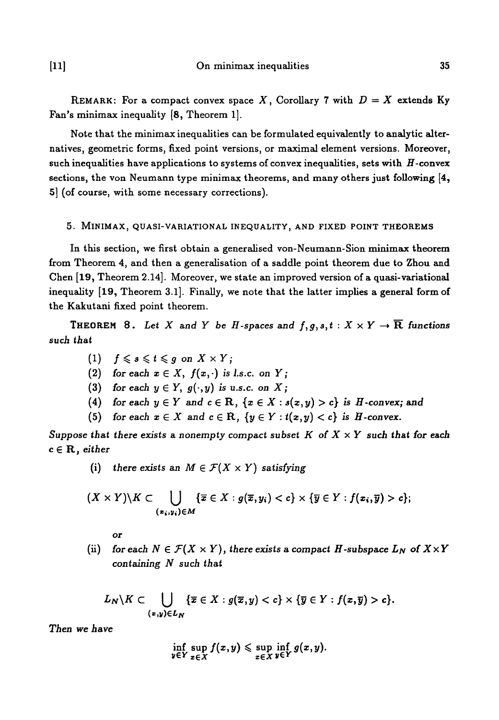REMARK: For a compact convex space X, Corollary 7 with  $D = X$  extends Ky Fan's minimax inequality [8, Theorem 1].

Note that the minimax inequalities can be formulated equivalently to analytic alternatives, geometric forms, fixed point versions, or maximal element versions. Moreover, such inequalities have applications to systems of convex inequalities, sets with  $H$ -convex sections, the von Neumann type minimax theorems, and many others just following [4, 5] (of course, with some necessary corrections).

### 5. MINIMAX, QUASI-VARIATIONAL INEQUALITY, AND FIXED POINT THEOREMS

In this section, we first obtain a generalised von-Neumann-Sion minimax theorem from Theorem 4, and then a generalisation of a saddle point theorem due to Zhou and Chen [19, Theorem 2.14]. Moreover, we state an improved version of a quasi-variational inequality [19, Theorem 3.1]. Finally, we note that the latter implies a general form of the Kakutani fixed point theorem.

**THEOREM** 8. Let X and Y be H-spaces and  $f, g, s, t: X \times Y \to \overline{\mathbb{R}}$  functions *such that*

- (1)  $f \leqslant s \leqslant t \leqslant g$  on  $X \times Y$ ;
- (2) for each  $x \in X$ ,  $f(x, \cdot)$  is *l.s.c.* on Y;
- (3) for each  $y \in Y$ ,  $g(\cdot, y)$  is u.s.c. on X;
- (4) for each  $y \in Y$  and  $c \in \mathbb{R}$ ,  $\{x \in X : s(x,y) > c\}$  is H-convex; and
- (5) for each  $x \in X$  and  $c \in \mathbb{R}$ ,  $\{y \in Y : t(x,y) < c\}$  is *H*-convex.

*Suppose that there exists a nonempty compact subset K of X xY such that for each*  $c \in \mathbf{R}$ , either

(i) there exists an  $M \in \mathcal{F}(X \times Y)$  satisfying

$$
(X \times Y) \setminus K \subset \bigcup_{(x_i, y_i) \in M} \{ \overline{x} \in X : g(\overline{x}, y_i) < c \} \times \{ \overline{y} \in Y : f(x_i, \overline{y}) > c \};
$$

ΩF

(ii) for each  $N \in \mathcal{F}(X \times Y)$ , there exists a compact H-subspace  $L_N$  of  $X \times Y$ *containing N such that*

$$
L_N\setminus K\subset \bigcup_{(x,y)\in L_N}\{\overline{x}\in X:g(\overline{x},y)c\}.
$$

*Then we have*

$$
\inf_{y\in Y}\sup_{x\in X}f(x,y)\leqslant \sup_{x\in X}\inf_{y\in Y}g(x,y).
$$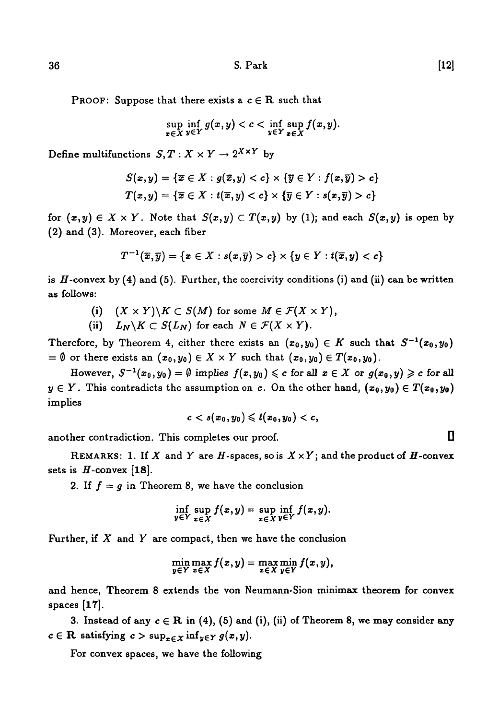$36$  S. Park [12]

**PROOF:** Suppose that there exists a  $c \in \mathbb{R}$  such that

$$
\sup_{x\in X}\inf_{y\in Y}g(x,y)
$$

Define multifunctions  $S, T: X \times Y \rightarrow 2^{X \times Y}$  by

$$
S(x,y) = \{ \overline{x} \in X : g(\overline{x},y) < c \} \times \{ \overline{y} \in Y : f(x,\overline{y}) > c \}
$$
\n
$$
T(x,y) = \{ \overline{x} \in X : t(\overline{x},y) < c \} \times \{ \overline{y} \in Y : s(x,\overline{y}) > c \}
$$

for  $(x,y) \in X \times Y$ . Note that  $S(x,y) \subset T(x,y)$  by (1); and each  $S(x,y)$  is open by (2) and (3). Moreover, each fiber

$$
T^{-1}(\overline{x},\overline{y})=\{x\in X:s(x,\overline{y})>c\}\times\{y\in Y:t(\overline{x},y)
$$

is  $H$ -convex by (4) and (5). Further, the coercivity conditions (i) and (ii) can be written as follows:

- (i)  $(X \times Y) \backslash K \subset S(M)$  for some  $M \in \mathcal{F}(X \times Y)$ ,
- (ii)  $L_N\backslash K\subset S(L_N)$  for each  $N\in \mathcal{F}(X\times Y)$ .

Therefore, by Theorem 4, either there exists an  $(x_0, y_0) \in K$  such that  $S^{-1}(x_0, y_0)$  $= \emptyset$  or there exists an  $(x_0, y_0) \in X \times Y$  such that  $(x_0, y_0) \in T(x_0, y_0)$ .

However,  $S^{-1}(x_0, y_0) = \emptyset$  implies  $f(x, y_0) \leq c$  for all  $x \in X$  or  $g(x_0, y) \geq c$  for all  $y \in Y$ . This contradicts the assumption on *c*. On the other hand,  $(x_0, y_0) \in T(x_0, y_0)$ implies

$$
c < s(x_0,y_0) \leqslant t(x_0,y_0) < c,
$$

another contradiction. This completes our proof.  $\Box$ 

REMARKS: 1. If X and Y are  $H$ -spaces, so is  $X \times Y$ ; and the product of H-convex sets is  $H$ -convex [18].

2. If  $f = g$  in Theorem 8, we have the conclusion

$$
\inf_{y\in Y}\sup_{x\in X}f(x,y)=\sup_{x\in X}\inf_{y\in Y}f(x,y).
$$

Further, if *X* and *Y* are compact, then we have the conclusion

$$
\min_{y\in Y}\max_{x\in X}f(x,y)=\max_{x\in X}\min_{y\in Y}f(x,y),
$$

and hence, Theorem 8 extends the von Neumann-Sion minimax theorem for convex spaces [17].

3. Instead of any  $c \in \mathbb{R}$  in (4), (5) and (i), (ii) of Theorem 8, we may consider any  $c \in \mathbf{R}$  satisfying  $c > \sup_{x \in X} \inf_{y \in Y} g(x, y)$ .

For convex spaces, we have the following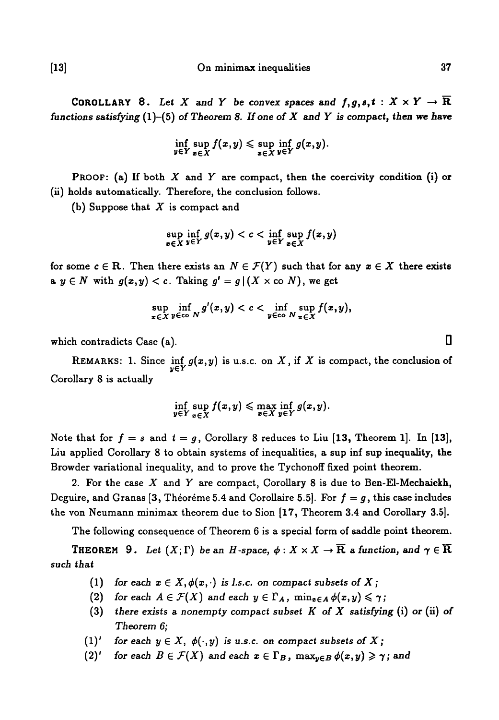COROLLARY 8. Let X and Y be convex spaces and  $f,g,s,t : X \times Y \to \overline{\mathbb{R}}$ *functions satisfying* (l)-(5) *of Theorem 8. If one of X and Y is compact, then we have*

$$
\inf_{y\in Y}\sup_{x\in X}f(x,y)\leqslant \sup_{x\in X}\inf_{y\in Y}g(x,y).
$$

PROOF: (a) If both *X* and *Y* are compact, then the coercivity condition (i) or (ii) holds automatically. Therefore, the conclusion follows,

(b) Suppose that *X* is compact and

$$
\sup_{x\in X}\inf_{y\in Y}g(x,y)
$$

for some  $c \in \mathbb{R}$ . Then there exists an  $N \in \mathcal{F}(Y)$  such that for any  $x \in X$  there exists a  $y \in N$  with  $g(x, y) < c$ . Taking  $g' = g|(X \times c_0 N)$ , we get

$$
\sup_{x\in X}\inf_{y\in\infty}\frac{g'(x,y)}{N}
$$

which contradicts Case (a).  $\Box$ 

REMARKS: 1. Since  $\inf_{s} g(x, y)$  is u.s.c. on X, if X is compact, the conclusion of Corollary 8 is actually

$$
\inf_{y\in Y}\sup_{x\in X}f(x,y)\leqslant \max_{x\in X}\inf_{y\in Y}g(x,y).
$$

Note that for  $f = s$  and  $t = g$ , Corollary 8 reduces to Liu [13, Theorem 1]. In [13], Liu applied Corollary 8 to obtain systems of inequalities, a sup inf sup inequality, the Browder variational inequality, and to prove the Tychonoff fixed point theorem.

2. For the case *X* and *Y* are compact, Corollary 8 is due to Ben-El-Mechaiekh, Deguire, and Granas [3, Théoréme 5.4 and Corollaire 5.5]. For  $f = g$ , this case includes the von Neumann minimax theorem due to Sion [17, Theorem 3.4 and Corollary 3.5].

The following consequence of Theorem 6 is a special form of saddle point theorem.

THEOREM 9. Let  $(X; \Gamma)$  be an H-space,  $\phi: X \times X \to \overline{\mathbb{R}}$  a function, and  $\gamma \in \overline{\mathbb{R}}$ such that

- (1) for each  $x \in X, \phi(x, \cdot)$  is *l.s.c.* on compact subsets of X;
- (2) for each  $A \in \mathcal{F}(X)$  and each  $y \in \Gamma_A$ ,  $\min_{z \in A} \phi(x, y) \leq \gamma$ ;
- (3) there *exists a nonempty compact subset K of X satisfying* (i) *or* (ii) *of Theorem 6;*
- (1)' for each  $y \in X$ ,  $\phi(\cdot, y)$  is u.s.c. on compact subsets of X;
- $(2)^{1}$ *for each*  $B \in \mathcal{F}(X)$  *and each*  $x \in \Gamma_B$ *,*  $\max_{y \in B} \phi(x, y) \geq \gamma$ *; and*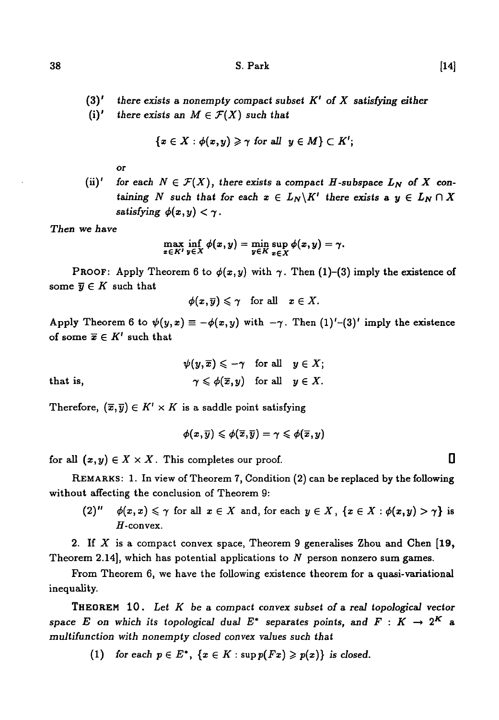- (3)' there *exists* a *nonempty compact subset K' of X satisfying either*
- (i)' there exists an  $M \in \mathcal{F}(X)$  such that

$$
\{x\in X:\phi(x,y)\geqslant \gamma\,\text{ for all }\,\,y\in M\}\subset K';
$$

or

(ii)' for each  $N \in \mathcal{F}(X)$ , there exists a compact H-subspace  $L_N$  of X con*taining* N such that for each  $x \in L_N \backslash K'$  there exists a  $y \in L_N \cap X'$ *satisfying*  $\phi(x,y) < \gamma$ .

Then we have

$$
\max_{x\in K'}\inf_{y\in X}\phi(x,y)=\min_{y\in K}\sup_{x\in X}\phi(x,y)=\gamma.
$$

PROOF: Apply Theorem 6 to  $\phi(x,y)$  with  $\gamma$ . Then (1)-(3) imply the existence of some  $\overline{v} \in K$  such that

$$
\phi(x,\overline{y})\leqslant\gamma\quad\text{for all}\quad x\in X.
$$

Apply Theorem 6 to  $\psi(y, x) \equiv -\phi(x, y)$  with  $-\gamma$ . Then (1)<sup>'</sup>-(3)<sup>'</sup> imply the existence of some  $\overline{x} \in K'$  such that

 $\psi(y,\overline{x}) \leq -\gamma$  for all  $y \in X$ ; that is,  $\gamma \leq \phi(\bar{x}, v)$  for all  $v \in X$ .

Therefore,  $(\bar{x}, \bar{y}) \in K' \times K$  is a saddle point satisfying

$$
\phi(x,\overline{y})\leqslant \phi(\overline{x},\overline{y})=\gamma\leqslant \phi(\overline{x},y)
$$

for all  $(x, y) \in X \times X$ . This completes our proof.

REMARKS: 1. In view of Theorem 7, Condition (2) can be replaced by the following without affecting the conclusion of Theorem 9:

(2)"  $\phi(x, x) \leq \gamma$  for all  $x \in X$  and, for each  $y \in X$ ,  $\{x \in X : \phi(x, y) > \gamma\}$  is *H-* convex.

2. If *X* is a compact convex space, Theorem 9 generalises Zhou and Chen [19, Theorem 2.14, which has potential applications to  $N$  person nonzero sum games.

From Theorem 6, we have the following existence theorem for a quasi-variational inequality.

THEOREM 10 . *Let K be* a *compact convex subset of a real topological vector* space  $E$  on which its topological dual  $E^*$  separates points, and  $F : K \to 2^K$  a *multifunction with nonempty closed convex values such that*

(1) for each  $p \in E^*$ ,  $\{x \in K : \sup p(Fx) \geqslant p(x)\}\)$  is closed.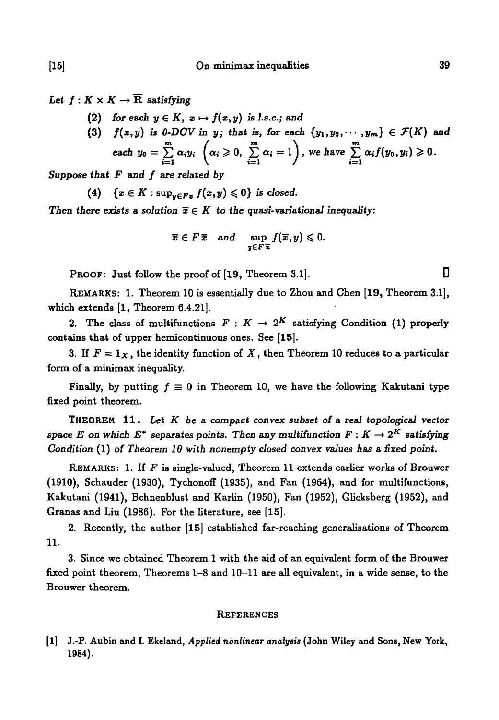Let  $f: K \times K \to \overline{\mathbf{R}}$  satisfying

- (2) for each  $y \in K$ ,  $x \mapsto f(x, y)$  is *l.s.c.*; and
- (3)  $f(x,y)$  is 0-DCV in y; that is, for each  $\{y_1,y_2,\cdots,y_m\} \in \mathcal{F}(K)$  and  $\begin{cases} u_1 > 0, & \sum_{i=1}^{\infty} u_i \leq u_1 - 1 \end{cases}$ , we have  $\sum_{i=1}^{\infty} u_i \left( \sum_{i=1}^{\infty} v_i \right) > 0.$

*Suppose that F and f axe related by*

(4)  $\{x \in K : \sup_{y \in F_x} f(x,y) \leq 0\}$  is closed.

Then there exists a solution  $\overline{x} \in K$  to the quasi-variational inequality:

$$
\overline{x} \in F \overline{x} \quad \text{and} \quad \sup_{y \in F \overline{x}} f(\overline{x}, y) \leqslant 0.
$$

**PROOF:** Just follow the proof of  $[19,$  Theorem 3.1].

REMARKS: 1. Theorem 10 is essentially due to Zhou and Chen [19, Theorem 3.1], which extends [1, Theorem 6.4.21].

2. The class of multifunctions  $F: K \to 2^K$  satisfying Condition (1) properly contains that of upper hemicontinuous ones. See [15].

3. If  $F = 1_X$ , the identity function of X, then Theorem 10 reduces to a particular form of a minimax inequality.

Finally, by putting  $f \equiv 0$  in Theorem 10, we have the following Kakutani type fixed point theorem.

THEOREM 11 . *Let K be* a compact *convex subset of a real topological vector* space  $E$  on which  $E^*$  separates points. Then any multifunction  $F: K \to 2^K$  satisfying *Condition* (1) *of Theorem 10 with nonempty closed convex values has a fixed point.*

REMARKS: 1. If *F* is single-valued, Theorem 11 extends earlier works of Brouwer (1910), Schauder (1930), Tychonoff (1935), and Fan (1964), and for multifunctions, Kakutani (1941), Bchnenblust and Karlin (1950), Fan (1952), Glicksberg (1952), and Granas and Liu (1986). For the literature, see [15].

2. Recently, the author [15] established far-reaching generalisations of Theorem 11.

3. Since we obtained Theorem 1 with the aid of an equivalent form of the Brouwer fixed point theorem, Theorems 1-8 and 10—11 are all equivalent, in a wide sense, to the Brouwer theorem.

#### **REFERENCES**

[1] J.-P. Aubin and I. Ekeland, *Applied nonlinear analysis* (John Wiley and Sons, New York, 1984).